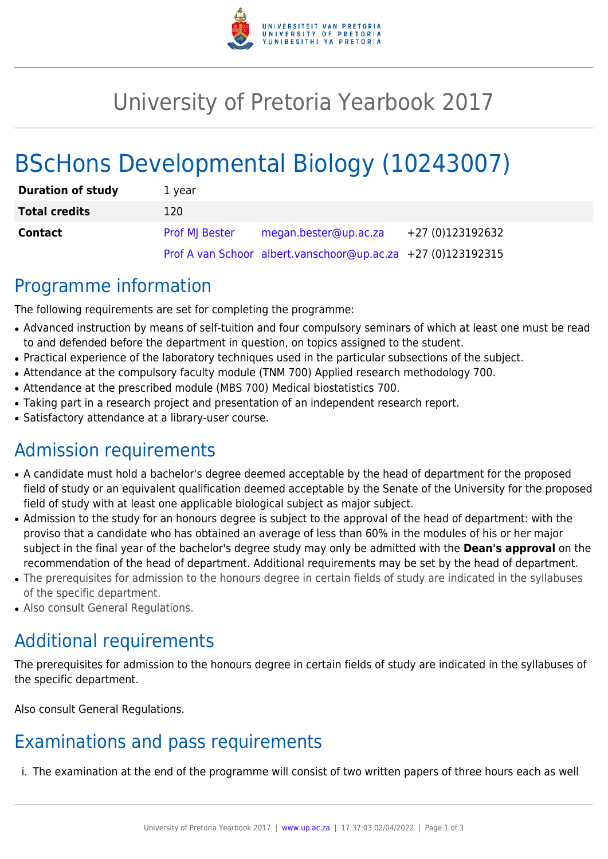

# University of Pretoria Yearbook 2017

# BScHons Developmental Biology (10243007)

| <b>Duration of study</b> | 1 year                |                                                              |                  |
|--------------------------|-----------------------|--------------------------------------------------------------|------------------|
| <b>Total credits</b>     | 120                   |                                                              |                  |
| <b>Contact</b>           | <b>Prof MJ Bester</b> | megan.bester@up.ac.za                                        | +27 (0)123192632 |
|                          |                       | Prof A van Schoor albert.vanschoor@up.ac.za +27 (0)123192315 |                  |

#### Programme information

The following requirements are set for completing the programme:

- Advanced instruction by means of self-tuition and four compulsory seminars of which at least one must be read to and defended before the department in question, on topics assigned to the student.
- Practical experience of the laboratory techniques used in the particular subsections of the subject.
- Attendance at the compulsory faculty module (TNM 700) Applied research methodology 700.
- Attendance at the prescribed module (MBS 700) Medical biostatistics 700.
- Taking part in a research project and presentation of an independent research report.
- Satisfactory attendance at a library-user course.

### Admission requirements

- A candidate must hold a bachelor's degree deemed acceptable by the head of department for the proposed field of study or an equivalent qualification deemed acceptable by the Senate of the University for the proposed field of study with at least one applicable biological subject as major subject.
- Admission to the study for an honours degree is subject to the approval of the head of department: with the proviso that a candidate who has obtained an average of less than 60% in the modules of his or her major subject in the final year of the bachelor's degree study may only be admitted with the **Dean's approval** on the recommendation of the head of department. Additional requirements may be set by the head of department.
- The prerequisites for admission to the honours degree in certain fields of study are indicated in the syllabuses of the specific department.
- Also consult General Regulations.

## Additional requirements

The prerequisites for admission to the honours degree in certain fields of study are indicated in the syllabuses of the specific department.

Also consult General Regulations.

## Examinations and pass requirements

i. The examination at the end of the programme will consist of two written papers of three hours each as well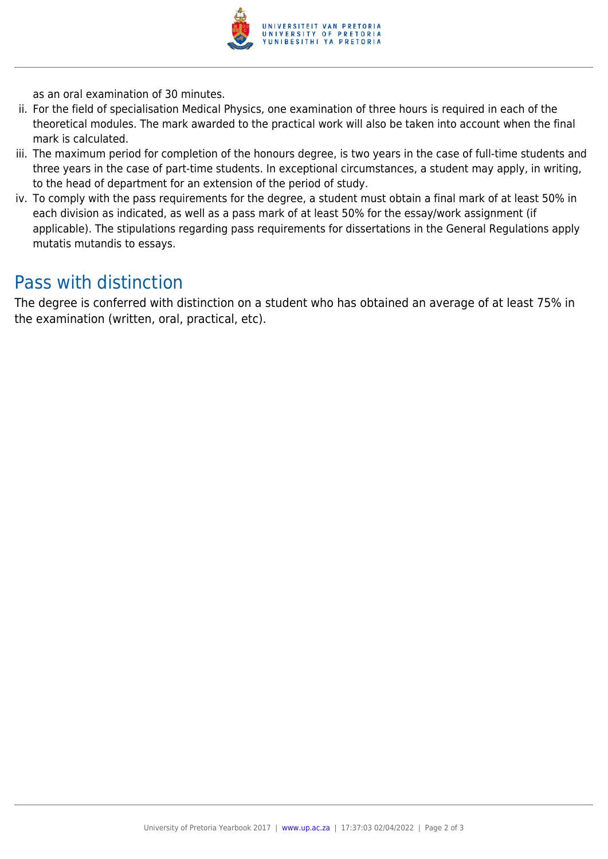

as an oral examination of 30 minutes.

- ii. For the field of specialisation Medical Physics, one examination of three hours is required in each of the theoretical modules. The mark awarded to the practical work will also be taken into account when the final mark is calculated.
- iii. The maximum period for completion of the honours degree, is two years in the case of full-time students and three years in the case of part-time students. In exceptional circumstances, a student may apply, in writing, to the head of department for an extension of the period of study.
- iv. To comply with the pass requirements for the degree, a student must obtain a final mark of at least 50% in each division as indicated, as well as a pass mark of at least 50% for the essay/work assignment (if applicable). The stipulations regarding pass requirements for dissertations in the General Regulations apply mutatis mutandis to essays.

#### Pass with distinction

The degree is conferred with distinction on a student who has obtained an average of at least 75% in the examination (written, oral, practical, etc).